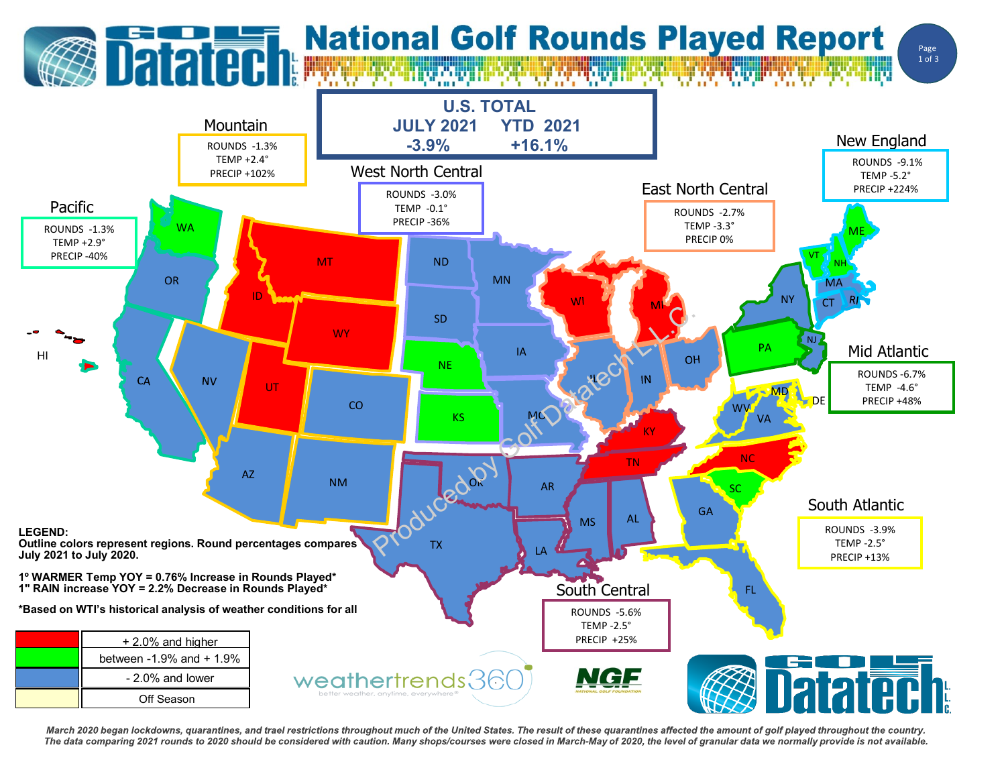## **Datated: National Golf Rounds Played Report**





March 2020 began lockdowns, quarantines, and trael restrictions throughout much of the United States. The result of these quarantines affected the amount of golf played throughout the country. The data comparing 2021 rounds to 2020 should be considered with caution. Many shops/courses were closed in March-May of 2020, the level of granular data we normally provide is not available.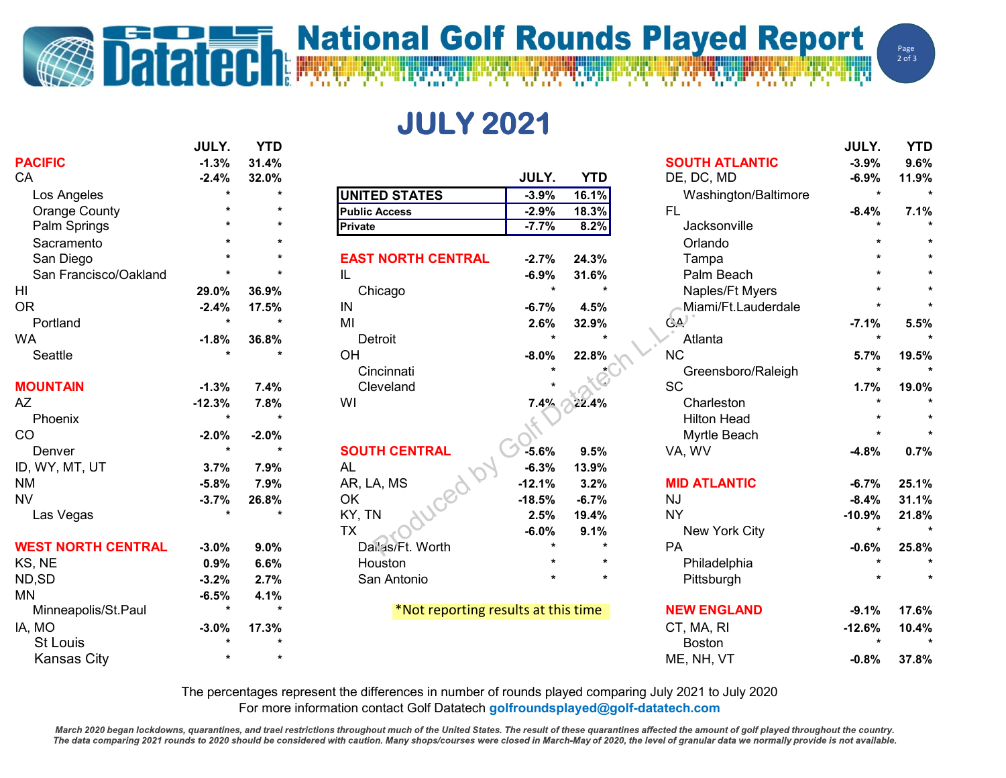## **i National Golf Rounds Played Report**<br>National Golf Rounds Played Report **DESCRIPTION OF REAL PROPERTY**

**JULY 2021**

|                           | <b>JULY.</b>         | <b>YTD</b> |                                     |          |            |                       | JULY.                | <b>YTD</b> |
|---------------------------|----------------------|------------|-------------------------------------|----------|------------|-----------------------|----------------------|------------|
| <b>PACIFIC</b>            | $-1.3%$              | 31.4%      |                                     |          |            | <b>SOUTH ATLANTIC</b> | $-3.9%$              | 9.6%       |
| CA                        | $-2.4%$              | 32.0%      |                                     | JULY.    | <b>YTD</b> | DE, DC, MD            | $-6.9%$              | 11.9%      |
| Los Angeles               | $\ddot{\phantom{0}}$ |            | <b>UNITED STATES</b>                | $-3.9%$  | 16.1%      | Washington/Baltimore  | $\star$              |            |
| <b>Orange County</b>      |                      |            | <b>Public Access</b>                | $-2.9%$  | 18.3%      | <b>FL</b>             | $-8.4%$              | 7.1%       |
| Palm Springs              |                      |            | Private                             | $-7.7%$  | 8.2%       | Jacksonville          |                      |            |
| Sacramento                |                      |            |                                     |          |            | Orlando               |                      |            |
| San Diego                 |                      |            | <b>EAST NORTH CENTRAL</b>           | $-2.7%$  | 24.3%      | Tampa                 |                      |            |
| San Francisco/Oakland     |                      |            | IL                                  | $-6.9%$  | 31.6%      | Palm Beach            |                      |            |
| HI                        | 29.0%                | 36.9%      | Chicago                             | $\star$  |            | Naples/Ft Myers       |                      |            |
| <b>OR</b>                 | $-2.4%$              | 17.5%      | IN                                  | $-6.7%$  | 4.5%       | Miami/Ft.Lauderdale   |                      |            |
| Portland                  | $\star$              | $\bullet$  | MI                                  | 2.6%     | 32.9%      | $G_{\mathbf{A}}$      | $-7.1%$              | 5.5%       |
| <b>WA</b>                 | $-1.8%$              | 36.8%      | Detroit                             | $\star$  |            | Atlanta               | $\star$              |            |
| Seattle                   |                      |            | OH                                  | $-8.0%$  | 22.8%      | <b>NC</b>             | 5.7%                 | 19.5%      |
|                           |                      |            | Cincinnati                          |          |            | Greensboro/Raleigh    | $\star$              |            |
| <b>MOUNTAIN</b>           | $-1.3%$              | 7.4%       | Cleveland                           |          |            | <b>SC</b>             | 1.7%                 | 19.0%      |
| AZ                        | $-12.3%$             | 7.8%       | WI                                  | 7.4%     | 22.4%      | Charleston            |                      |            |
| Phoenix                   | $\star$              |            |                                     |          |            | <b>Hilton Head</b>    |                      |            |
| CO                        | $-2.0%$              | $-2.0%$    |                                     |          |            | Myrtle Beach          |                      |            |
| Denver                    | $\star$              | $\star$    | <b>SOUTH CENTRAL</b>                | $-5.6%$  | 9.5%       | VA, WV                | $-4.8%$              | 0.7%       |
| ID, WY, MT, UT            | 3.7%                 | 7.9%       | AL                                  | $-6.3%$  | 13.9%      |                       |                      |            |
| <b>NM</b>                 | $-5.8%$              | 7.9%       | AR, LA, MS                          | $-12.1%$ | 3.2%       | <b>MID ATLANTIC</b>   | $-6.7%$              | 25.1%      |
| <b>NV</b>                 | $-3.7%$              | 26.8%      | OK                                  | $-18.5%$ | $-6.7%$    | <b>NJ</b>             | $-8.4%$              | 31.1%      |
| Las Vegas                 | $\star$              |            | KY, TN                              | 2.5%     | 19.4%      | <b>NY</b>             | $-10.9%$             | 21.8%      |
|                           |                      |            | <b>TX</b>                           | $-6.0%$  | 9.1%       | New York City         | $\star$              |            |
| <b>WEST NORTH CENTRAL</b> | $-3.0%$              | 9.0%       | Dail'as/Ft. Worth                   |          |            | PA                    | $-0.6%$              | 25.8%      |
| KS, NE                    | 0.9%                 | 6.6%       | Houston                             |          |            | Philadelphia          |                      |            |
| ND,SD                     | $-3.2%$              | 2.7%       | San Antonio                         |          | $\star$    | Pittsburgh            |                      |            |
| MN                        | $-6.5%$              | 4.1%       |                                     |          |            |                       |                      |            |
| Minneapolis/St.Paul       | $\star$              | $\star$    | *Not reporting results at this time |          |            | <b>NEW ENGLAND</b>    | $-9.1%$              | 17.6%      |
| IA, MO                    | $-3.0%$              | 17.3%      |                                     |          |            | CT, MA, RI            | $-12.6%$             | 10.4%      |
| <b>St Louis</b>           |                      |            |                                     |          |            | <b>Boston</b>         | $\ddot{\phantom{0}}$ |            |
| <b>Kansas City</b>        |                      |            |                                     |          |            | ME, NH, VT            | $-0.8%$              | 37.8%      |
|                           |                      |            |                                     |          |            |                       |                      |            |

The percentages represent the differences in number of rounds played comparing July 2021 to July 2020 For more information contact Golf Datatech **golfroundsplayed@golf-datatech.com** 

March 2020 began lockdowns, quarantines, and trael restrictions throughout much of the United States. The result of these quarantines affected the amount of golf played throughout the country. The data comparing 2021 rounds to 2020 should be considered with caution. Many shops/courses were closed in March-May of 2020, the level of granular data we normally provide is not available.